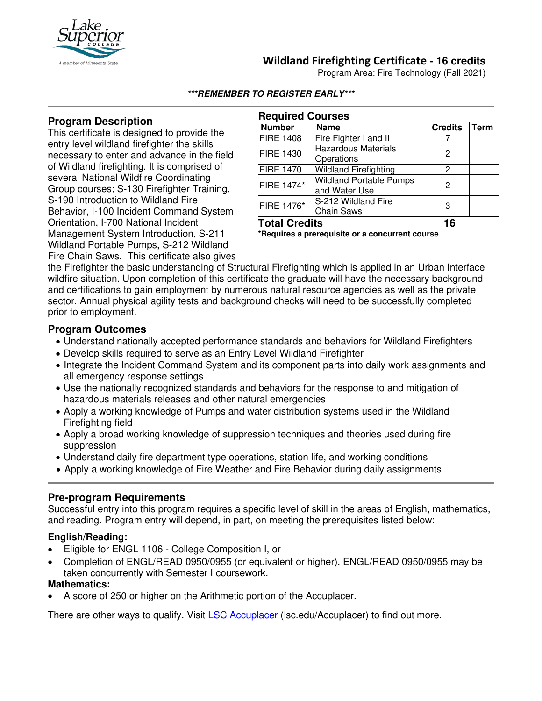

## **Wildland Firefighting Certificate - 16 credits**

Program Area: Fire Technology (Fall 2021)

#### **\*\*\*REMEMBER TO REGISTER EARLY\*\*\***

### **Program Description**

This certificate is designed to provide the entry level wildland firefighter the skills necessary to enter and advance in the field of Wildland firefighting. It is comprised of several National Wildfire Coordinating Group courses; S-130 Firefighter Training, S-190 Introduction to Wildland Fire Behavior, I-100 Incident Command System Orientation, I-700 National Incident Management System Introduction, S-211 Wildland Portable Pumps, S-212 Wildland Fire Chain Saws. This certificate also gives

| <b>Required Courses</b> |                                                 |                |      |
|-------------------------|-------------------------------------------------|----------------|------|
| <b>Number</b>           | <b>Name</b>                                     | <b>Credits</b> | Term |
| <b>FIRE 1408</b>        | Fire Fighter I and II                           |                |      |
| <b>FIRE 1430</b>        | <b>Hazardous Materials</b><br>Operations        | 2              |      |
| <b>FIRE 1470</b>        | <b>Wildland Firefighting</b>                    | $\mathcal{P}$  |      |
| FIRE 1474*              | <b>Wildland Portable Pumps</b><br>and Water Use | 2              |      |
| FIRE 1476*              | S-212 Wildland Fire<br><b>Chain Saws</b>        | 3              |      |
| <b>Total Credits</b>    |                                                 | 16             |      |

**\*Requires a prerequisite or a concurrent course**

the Firefighter the basic understanding of Structural Firefighting which is applied in an Urban Interface wildfire situation. Upon completion of this certificate the graduate will have the necessary background and certifications to gain employment by numerous natural resource agencies as well as the private sector. Annual physical agility tests and background checks will need to be successfully completed prior to employment.

### **Program Outcomes**

- Understand nationally accepted performance standards and behaviors for Wildland Firefighters
- Develop skills required to serve as an Entry Level Wildland Firefighter
- Integrate the Incident Command System and its component parts into daily work assignments and all emergency response settings
- Use the nationally recognized standards and behaviors for the response to and mitigation of hazardous materials releases and other natural emergencies
- Apply a working knowledge of Pumps and water distribution systems used in the Wildland Firefighting field
- Apply a broad working knowledge of suppression techniques and theories used during fire suppression
- Understand daily fire department type operations, station life, and working conditions
- Apply a working knowledge of Fire Weather and Fire Behavior during daily assignments

#### **Pre-program Requirements**

Successful entry into this program requires a specific level of skill in the areas of English, mathematics, and reading. Program entry will depend, in part, on meeting the prerequisites listed below:

#### **English/Reading:**

- Eligible for ENGL 1106 College Composition I, or
- Completion of ENGL/READ 0950/0955 (or equivalent or higher). ENGL/READ 0950/0955 may be taken concurrently with Semester I coursework.

#### **Mathematics:**

• A score of 250 or higher on the Arithmetic portion of the Accuplacer.

There are other ways to qualify. Visit [LSC Accuplacer](https://www.lsc.edu/accuplacer/) (lsc.edu/Accuplacer) to find out more.